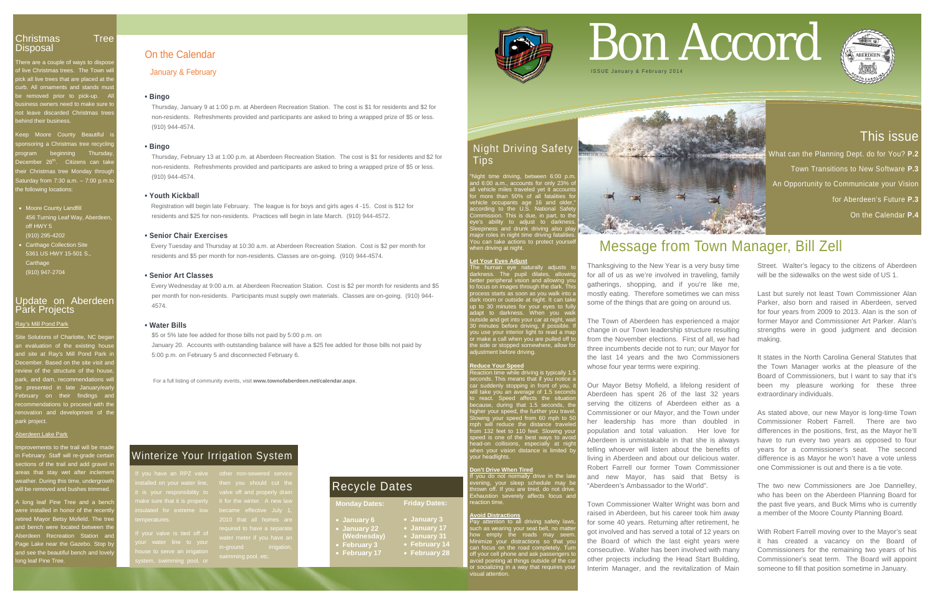There are a couple of ways to dispos of live Christmas trees. The Town will pick all live trees that are placed at the curb. All ornaments and stands must e removed prior to pick-up. A ss owners need to make sure t not leave discarded Christmas trees ehind their business.

Keep Moore County Beautiful is ponsoring a Christmas tree recycling rogram beginning Thursda ecember 26<sup>th</sup>. Citizens can take neir Christmas tree Monday througl  $saturday$  from 7:30 a.m.  $-$  7:00 p.m.to he following locations:

## This issue

What can the Planning Dept. do for You? **P.2**  Town Transitions to New Software **P.3** An Opportunity to Communicate your Vision for Aberdeen's Future **P.3** On the Calendar **P.4**

#### Update on Aberdeen **Park Projects**

provements to the trail will be made n February. Staff will re-grade certa ections of the trail and add gravel reas that stay wet after inclement eather. During this time, undergrow will be removed and bushes trimmed.

- Moore County Landfill 456 Turning Leaf Way, Aberdeen, off HWY 5 (910) 295-4202
- Carthage Collection Site 5361 US HWY 15-501 S., **Carthage** (910) 947-2704

 $\lambda$  long leaf Pine Tree and a bench ere installed in honor of the recent rtired Mayor Betsy Mofield. The tree nd bench were located between the **berdeen Recreation Station and** Page Lake near the Gazebo. Stop by and see the beautiful bench and lovely long leaf Pine Tree.

#### Ray's Mill Pond Park

Site Solutions of Charlotte, NC began In evaluation of the existing house nd site at Ray's Mill Pond Park ment of the state of the site visit and view of the structure of the hous ark, and dam, recommenda presented in late January/early  $\begin{array}{ccc} \text{\small ebruary} & \text{\small on} \end{array}$  their  $\begin{array}{ccc} \text{\small findings} & \text{\small an} \end{array}$ commendations to proceed with the novation and development of th ark project.

#### berdeen Lake Park

action time while driving is typically 1. seconds. This means that if you notice a car suddenly stopping in front of you, it will take you an average of 1.5 seconds to react. Speed affects the situation because, during that 1.5 seconds, the higher your speed, the further you travel. Slowing your speed from 60 mph to 50 mph will reduce the distance traveled from 132 feet to 110 feet. Slowing your speed is one of the best ways to avoid head-on collisions, especially at night when your vision distance is limited by your headlights.

## Night Driving Safety Tips

"Night time driving, between 6:00 p.m. and 6:00 a.m., accounts for only 23% of all vehicle miles traveled yet it accounts for more than 50% of all fatalities for vehicle occupants age 16 and older," according to the U.S. National Safety Commission. This is due, in part, to the eye's ability to adjust to darkness. Sleepiness and drunk driving also play major roles in night time driving fatalities. You can take actions to protect yourself when driving at night.

#### **Let Your Eyes Adjust**

The human eye naturally adjusts to darkness. The pupil dilates, allowing better peripheral vision and allowing you to focus on images through the dark. This process starts as soon as you walk into a dark room or outside at night. It can take up to 30 minutes for your eyes to fully adapt to darkness. When you walk outside and get into your car at night, wait 30 minutes before driving, if possible. If you use your interior light to read a map or make a call when you are pulled off to the side or stopped somewhere, allow for adjustment before driving.

#### **Reduce Your Speed**

Street. Walter's legacy to the citizens of Aberdeen will be the sidewalks on the west side of US 1.

#### **Don't Drive When Tired**

If you do not normally drive in the late evening, your sleep schedule may be thrown off. If you are tired, do not drive. Exhaustion severely affects focus and reaction time.

#### **Avoid Distractions**

Pay attention to all driving safety laws, such as wearing your seat belt, no matter how empty the roads may seem. Minimize your distractions so that you can focus on the road completely. Turn off your cell phone and ask passengers to avoid pointing at things outside of the car or socializing in a way that requires your visual attention.



For a full listing of community events, visit **www.townofaberdeen.net/calendar.aspx**.

# On the Calendar

January & February

#### **• Bingo**

Thursday, January 9 at 1:00 p.m. at Aberdeen Recreation Station. The cost is \$1 for residents and \$2 for non-residents. Refreshments provided and participants are asked to bring a wrapped prize of \$5 or less. (910) 944-4574.

#### **• Bingo**

Thursday, February 13 at 1:00 p.m. at Aberdeen Recreation Station. The cost is \$1 for residents and \$2 for non-residents. Refreshments provided and participants are asked to bring a wrapped prize of \$5 or less. (910) 944-4574.

#### **• Youth Kickball**

 Registration will begin late February. The league is for boys and girls ages 4 -15. Cost is \$12 for residents and \$25 for non-residents. Practices will begin in late March. (910) 944-4572.

#### **• Senior Chair Exercises**

Every Tuesday and Thursday at 10:30 a.m. at Aberdeen Recreation Station. Cost is \$2 per month for residents and \$5 per month for non-residents. Classes are on-going. (910) 944-4574.

#### **• Senior Art Classes**

 Every Wednesday at 9:00 a.m. at Aberdeen Recreation Station. Cost is \$2 per month for residents and \$5 per month for non-residents. Participants must supply own materials. Classes are on-going. (910) 944- 4574.

#### **• Water Bills**

\$5 or 5% late fee added for those bills not paid by 5:00 p.m. on January 20. Accounts with outstanding balance will have a \$25 fee added for those bills not paid by 5:00 p.m. on February 5 and disconnected February 6.

# Bon Accord



## Message from Town Manager, Bill Zell

Thanksgiving to the New Year is a very busy time for all of us as we're involved in traveling, family gatherings, shopping, and if you're like me, mostly eating. Therefore sometimes we can miss some of the things that are going on around us.

The Town of Aberdeen has experienced a major change in our Town leadership structure resulting from the November elections. First of all, we had three incumbents decide not to run; our Mayor for the last 14 years and the two Commissioners whose four year terms were expiring.

Our Mayor Betsy Mofield, a lifelong resident of Aberdeen has spent 26 of the last 32 years serving the citizens of Aberdeen either as a Commissioner or our Mayor, and the Town under her leadership has more than doubled in population and total valuation. Her love for Aberdeen is unmistakable in that she is always telling whoever will listen about the benefits of living in Aberdeen and about our delicious water. Robert Farrell our former Town Commissioner and new Mayor, has said that Betsy is "Aberdeen's Ambassador to the World".

Town Commissioner Walter Wright was born and raised in Aberdeen, but his career took him away for some 40 years. Returning after retirement, he got involved and has served a total of 12 years on the Board of which the last eight years were consecutive. Walter has been involved with many other projects including the Head Start Building, Interim Manager, and the revitalization of Main

Last but surely not least Town Commissioner Alan Parker, also born and raised in Aberdeen, served for four years from 2009 to 2013. Alan is the son of former Mayor and Commissioner Art Parker. Alan's strengths were in good judgment and decision making.

It states in the North Carolina General Statutes that the Town Manager works at the pleasure of the Board of Commissioners, but I want to say that it's been my pleasure working for these three extraordinary individuals.

As stated above, our new Mayor is long-time Town Commissioner Robert Farrell. There are two differences in the positions, first, as the Mayor he'll have to run every two years as opposed to four years for a commissioner's seat. The second difference is as Mayor he won't have a vote unless one Commissioner is out and there is a tie vote.

The two new Commissioners are Joe Dannelley, who has been on the Aberdeen Planning Board for the past five years, and Buck Mims who is currently a member of the Moore County Planning Board.

With Robert Farrell moving over to the Mayor's seat it has created a vacancy on the Board of Commissioners for the remaining two years of his Commissioner's seat term. The Board will appoint someone to fill that position sometime in January.



#### **Monday Dates:**

- **January 6**
- 
- **(Wednesday)**
- 
- 

#### **Friday Dates:**

- **January 3**
- 
- **January 17** • **January 31**
- **February 3**
- **February 17**



• **February 14** • **February 28**

## Recycle Dates

## Winterize Your Irrigation System